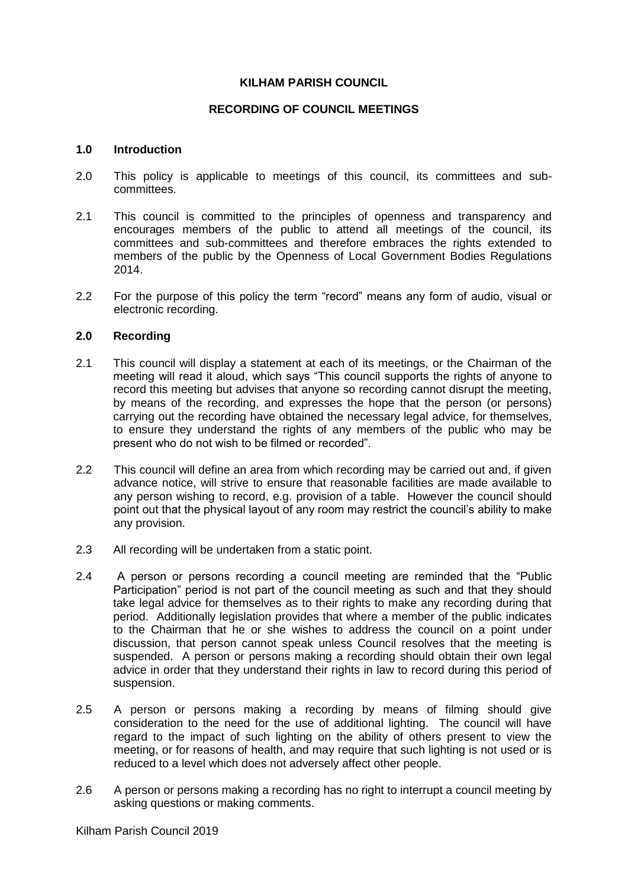## **KILHAM PARISH COUNCIL**

# **RECORDING OF COUNCIL MEETINGS**

## **1.0 Introduction**

- 2.0 This policy is applicable to meetings of this council, its committees and subcommittees.
- 2.1 This council is committed to the principles of openness and transparency and encourages members of the public to attend all meetings of the council, its committees and sub-committees and therefore embraces the rights extended to members of the public by the Openness of Local Government Bodies Regulations 2014.
- 2.2 For the purpose of this policy the term "record" means any form of audio, visual or electronic recording.

## **2.0 Recording**

- 2.1 This council will display a statement at each of its meetings, or the Chairman of the meeting will read it aloud, which says "This council supports the rights of anyone to record this meeting but advises that anyone so recording cannot disrupt the meeting, by means of the recording, and expresses the hope that the person (or persons) carrying out the recording have obtained the necessary legal advice, for themselves, to ensure they understand the rights of any members of the public who may be present who do not wish to be filmed or recorded".
- 2.2 This council will define an area from which recording may be carried out and, if given advance notice, will strive to ensure that reasonable facilities are made available to any person wishing to record, e.g. provision of a table. However the council should point out that the physical layout of any room may restrict the council's ability to make any provision.
- 2.3 All recording will be undertaken from a static point.
- 2.4 A person or persons recording a council meeting are reminded that the "Public Participation" period is not part of the council meeting as such and that they should take legal advice for themselves as to their rights to make any recording during that period. Additionally legislation provides that where a member of the public indicates to the Chairman that he or she wishes to address the council on a point under discussion, that person cannot speak unless Council resolves that the meeting is suspended. A person or persons making a recording should obtain their own legal advice in order that they understand their rights in law to record during this period of suspension.
- 2.5 A person or persons making a recording by means of filming should give consideration to the need for the use of additional lighting. The council will have regard to the impact of such lighting on the ability of others present to view the meeting, or for reasons of health, and may require that such lighting is not used or is reduced to a level which does not adversely affect other people.
- 2.6 A person or persons making a recording has no right to interrupt a council meeting by asking questions or making comments.